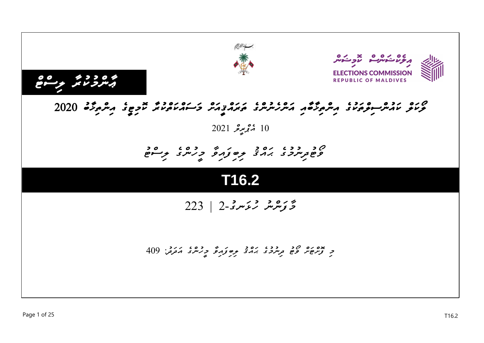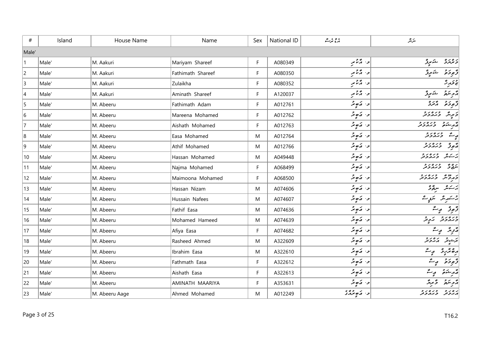| #               | Island | House Name     | Name              | Sex       | National ID | ، ه ، بر <u>م</u>          | ىئرىتر                                                                                                                                                                                                                           |
|-----------------|--------|----------------|-------------------|-----------|-------------|----------------------------|----------------------------------------------------------------------------------------------------------------------------------------------------------------------------------------------------------------------------------|
| Male'           |        |                |                   |           |             |                            |                                                                                                                                                                                                                                  |
| $\vert$ 1       | Male'  | M. Aakuri      | Mariyam Shareef   | F         | A080349     | ح به م <sup>ع</sup> مة مبر | ويرور ويميرو                                                                                                                                                                                                                     |
| 2               | Male'  | M. Aakuri      | Fathimath Shareef | F.        | A080350     | ح• مرکب <sup>و</sup> مو    | وموجود المستمروني                                                                                                                                                                                                                |
| $\vert$ 3       | Male'  | M. Aakuri      | Zulaikha          | F.        | A080352     | حزبه ومجموعهم              | ة بروتر<br>بالمرشر تشریف<br>مرد مشریف المستری                                                                                                                                                                                    |
| $\overline{4}$  | Male'  | M. Aakuri      | Aminath Shareef   | F         | A120037     | ح• مرکب <sup>و</sup> مو    |                                                                                                                                                                                                                                  |
| $\overline{5}$  | Male'  | M. Abeeru      | Fathimath Adam    | F         | A012761     | د . و کمپر<br>د            | و دو دره<br>وگړوه مګرو                                                                                                                                                                                                           |
| $\vert 6 \vert$ | Male'  | M. Abeeru      | Mareena Mohamed   | F         | A012762     | د . م <i>ه ه</i> نر        | د پرسگر دره در د                                                                                                                                                                                                                 |
| 7               | Male'  | M. Abeeru      | Aishath Mohamed   | F         | A012763     | د . و کمپر<br>د            | و دره دره در د                                                                                                                                                                                                                   |
| 8               | Male'  | M. Abeeru      | Easa Mohamed      | ${\sf M}$ | A012764     | د . مَه پر                 |                                                                                                                                                                                                                                  |
| 9               | Male'  | M. Abeeru      | Athif Mohamed     | M         | A012766     | د . و کمپر<br>د            | معبوق وبره رد                                                                                                                                                                                                                    |
| 10              | Male'  | M. Abeeru      | Hassan Mohamed    | M         | A049448     | د . م <i>ه ه</i> نر        | يركبش ورەرد                                                                                                                                                                                                                      |
| 11              | Male'  | M. Abeeru      | Najma Mohamed     | F         | A068499     | د . و کمپر                 | ره دره درو<br>سرچار درگردند                                                                                                                                                                                                      |
| 12              | Male'  | M. Abeeru      | Maimoona Mohamed  | F         | A068500     | و· مەھىر                   | ג מי כנסגב<br>כתכית כגתכת                                                                                                                                                                                                        |
| 13              | Male'  | M. Abeeru      | Hassan Nizam      | M         | A074606     | د . مەھىر                  | ئەسكىش ئىر <i>قۇ</i> م                                                                                                                                                                                                           |
| 14              | Male'  | M. Abeeru      | Hussain Nafees    | ${\sf M}$ | A074607     | د . مُه پر                 | ر مسكور من مكر من من المركز المركز المركز المركز المركز المركز المركز المركز المركز المركز المركز المركز المركز<br>مركز المركز المركز المركز المركز المركز المركز المركز المركز المركز المركز المركز المركز المركز المركز المركز |
| 15              | Male'  | M. Abeeru      | Fathif Easa       | M         | A074636     | د . مَه پر                 | توجوق پيشتم                                                                                                                                                                                                                      |
| 16              | Male'  | M. Abeeru      | Mohamed Hameed    | M         | A074639     | د . مَهمّ                  |                                                                                                                                                                                                                                  |
| 17              | Male'  | M. Abeeru      | Afiya Easa        | F         | A074682     | د . مَه پر                 |                                                                                                                                                                                                                                  |
| 18              | Male'  | M. Abeeru      | Rasheed Ahmed     | M         | A322609     | د . م <i>ه ه</i> نر        | برَجوتر كرورو                                                                                                                                                                                                                    |
| 19              | Male'  | M. Abeeru      | Ibrahim Easa      | M         | A322610     | د . مَه پر                 |                                                                                                                                                                                                                                  |
| 20              | Male'  | M. Abeeru      | Fathmath Easa     | F         | A322612     | د . م <i>ه ه</i> نر        | وُودو وپه                                                                                                                                                                                                                        |
| 21              | Male'  | M. Abeeru      | Aishath Easa      | F.        | A322613     | د . مَه پر                 | أمر منصر المحمد المحمد                                                                                                                                                                                                           |
| 22              | Male'  | M. Abeeru      | AMINATH MAARIYA   | F.        | A353631     | د . مَه پر                 | أأروسكم ومجرار                                                                                                                                                                                                                   |
| 23              | Male'  | M. Abeeru Aage | Ahmed Mohamed     | M         | A012249     | כי הם ייחד ב               | נפנד בנסנד<br>גלבת בגבבת                                                                                                                                                                                                         |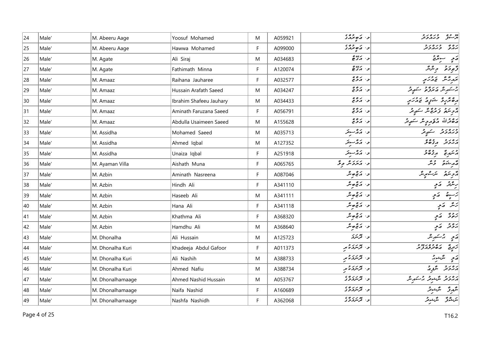| 24           | Male' | M. Abeeru Aage   | Yoosuf Mohamed               | M           | A059921 | $\begin{vmatrix} 1 & 1 & 1 \\ 1 & 1 & 1 \\ 1 & 1 & 1 \end{vmatrix}$                                         | و ره ر د<br><i>د ب</i> رگرفر<br>دد حره                                                                                                                                                                                          |
|--------------|-------|------------------|------------------------------|-------------|---------|-------------------------------------------------------------------------------------------------------------|---------------------------------------------------------------------------------------------------------------------------------------------------------------------------------------------------------------------------------|
| 25           | Male' | M. Abeeru Aage   | Hawwa Mohamed                | E           | A099000 | 51201.7                                                                                                     | ر ه بو<br>برد ق<br>و ر ه ر د<br>تر پر ژ تر                                                                                                                                                                                      |
| 26           | Male' | M. Agate         | Ali Siraj                    | M           | A034683 | $\overset{o}{\mathcal{E}}$ $\overset{c}{\mathcal{S}}$ $\overset{o}{\mathcal{A}}$ $\overset{o}{\mathcal{S}}$ | ړې سربره<br>مړينې                                                                                                                                                                                                               |
| 27           | Male' | M. Agate         | Fathimath Minna              | F           | A120074 | $822 - 5$                                                                                                   | وٌمودَهُ دِسْرَسٌ                                                                                                                                                                                                               |
| 28           | Male' | M. Amaaz         | Raihana Jauharee             | $\mathsf F$ | A032577 | $\overset{o}{\sim}$ $\overset{o}{\sim}$ $\overset{o}{\sim}$ $\overset{o}{\sim}$                             | بمديقيق ودرير                                                                                                                                                                                                                   |
| 29           | Male' | M. Amaaz         | <b>Hussain Arafath Saeed</b> | M           | A034247 | $\overset{o}{\sim}$ $\overset{o}{\sim}$ $\overset{o}{\sim}$ $\overset{o}{\sim}$                             | بر کشمر شهر ده در مسکور تر                                                                                                                                                                                                      |
| 30           | Male' | M. Amaaz         | Ibrahim Shafeeu Jauhary      | M           | A034433 | $\overset{o}{\sim}$ $\overset{o}{\sim}$ $\overset{o}{\sim}$                                                 | معترج خزيد فمديد                                                                                                                                                                                                                |
| 31           | Male' | M. Amaaz         | Aminath Faruzana Saeed       | F           | A056791 | ر برگړه                                                                                                     | أأدمره روم المستمر المستمر                                                                                                                                                                                                      |
| 32           | Male' | M. Amaaz         | Abdulla Usaimeen Saeed       | M           | A155628 | ر برگړه                                                                                                     | أرَهْ قَرْاللَّهُ مَنْهُ مِرْحٍ مَّدْ سَنَهِ قَرْ                                                                                                                                                                               |
| 33           | Male' | M. Assidha       | Mohamed Saeed                | M           | A035713 | - رژه سوټر                                                                                                  | ورەرو بەر                                                                                                                                                                                                                       |
| 34           | Male' | M. Assidha       | Ahmed Iqbal                  | M           | A127352 | - دُوم سوتر                                                                                                 | גם גב גבים<br>גגבת גבשב                                                                                                                                                                                                         |
| 35           | Male' | M. Assidha       | Unaiza Iqbal                 | $\mathsf F$ | A251918 | د . د په شوتر                                                                                               |                                                                                                                                                                                                                                 |
| 36           | Male' | M. Ayaman Villa  | Aishath Muna                 | $\mathsf F$ | A065765 | د· مَمَرْدَ هُرُ وِ دُّ                                                                                     | ە ئەستىمى ئەنگ                                                                                                                                                                                                                  |
| 37           | Male' | M. Azbin         | Aminath Nasreena             | $\mathsf F$ | A087046 | د . روم ه ه ش                                                                                               | ۇچە ئىر ئىر ئىسىر                                                                                                                                                                                                               |
| 38           | Male' | M. Azbin         | Hindh Ali                    | F           | A341110 | د . روم ه ه ش                                                                                               | پاشقر - مرّمةٍ                                                                                                                                                                                                                  |
| 39           | Male' | M. Azbin         | Haseeb Ali                   | M           | A341111 | د· مَعْ صِرْ                                                                                                | $rac{2}{3}$<br>ەنىر                                                                                                                                                                                                             |
| 40           | Male' | M. Azbin         | Hana Ali                     | F           | A341118 | - روه هر                                                                                                    | رَ پڑھ کی پر                                                                                                                                                                                                                    |
| 41           | Male' | M. Azbin         | Khathma Ali                  | F           | A368320 | د . روم ه هر                                                                                                | پر وي.<br>  ټرجونژ<br>ەئىيە                                                                                                                                                                                                     |
| 42           | Male' | M. Azbin         | Hamdhu Ali                   | M           | A368640 | و٠ مُنْ صِرْ                                                                                                | 5.67                                                                                                                                                                                                                            |
| $ 43\rangle$ | Male' | M. Dhonalha      | Ali Hussain                  | M           | A125723 | وسيحرمركز                                                                                                   | ە ئەسىمبە                                                                                                                                                                                                                       |
| 44           | Male' | M. Dhonalha Kuri | Khadeeja Abdul Gafoor        | F           | A011373 | د · قرمرکزی <sub>م مو</sub>                                                                                 | ر دره درود در در در در در در در در در این کلیدار در در این کلیدار در این کلیدار در دارای در این کلیدار در این<br>کلیدار در این کلیدار در این کلیدار در این کلیدار در این کلیدار در این کلیدار در این کلیدار در دارای در این کلی |
| 45           | Male' | M. Dhonalha Kuri | Ali Nashih                   | M           | A388733 | د <sub>ب</sub> ه تر تر تر تا تر                                                                             | أوسمح المترجور                                                                                                                                                                                                                  |
| 46           | Male' | M. Dhonalha Kuri | Ahmed Nafiu                  | M           | A388734 | <sub>ج</sub> . محر مرکز رحم می <sub>ر</sub>                                                                 | رەر ئەر                                                                                                                                                                                                                         |
| 47           | Male' | M. Dhonalhamaage | Ahmed Nashid Hussain         | M           | A053767 | بر رور در در<br>بر- ترس در در                                                                               | رەر<br>مەدىر سەيدىر باشىر ش                                                                                                                                                                                                     |
| 48           | Male' | M. Dhonalhamaage | Naifa Nashid                 | F.          | A160689 | ا د . هر در د د .<br>او . فرسرو د د                                                                         | شمرتى شرحون                                                                                                                                                                                                                     |
| 49           | Male' | M. Dhonalhamaage | Nashfa Nashidh               | F           | A362068 | بر برده در<br>ب- ترس ترک                                                                                    | <i>ﯩﺮﯨ</i> ﺸﯘ ﺋﯩﺮﯨﺸﻪﺭ                                                                                                                                                                                                           |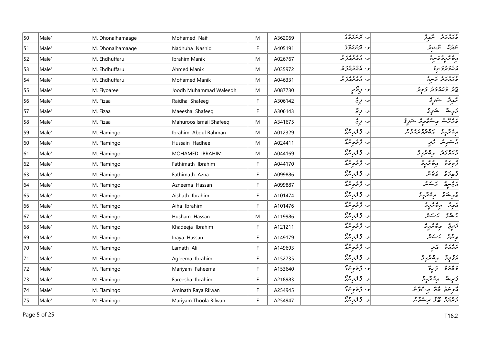| 50 | Male' | M. Dhonalhamaage | Mohamed Naif            | ${\sf M}$ | A362069 | و . مور رو ،<br>و . ترس رو ی         | سٌر د ژ<br>ور ہ ر د<br>تر پر تر تر     |
|----|-------|------------------|-------------------------|-----------|---------|--------------------------------------|----------------------------------------|
| 51 | Male' | M. Dhonalhamaage | Nadhuha Nashid          | F         | A405191 | و . ترسرو و ه                        | سكرترگ المتركسوتر                      |
| 52 | Male' | M. Ehdhuffaru    | Ibrahim Manik           | ${\sf M}$ | A026767 | י הה בה ה ב<br>כי הה בה ציב          | ە ھەمگە دە ئەس <sup>رە</sup>           |
| 53 | Male' | M. Ehdhuffaru    | <b>Ahmed Manik</b>      | ${\sf M}$ | A035972 | $2,02000$<br>$3,0000$                | ر ەر در د                              |
| 54 | Male' | M. Ehdhuffaru    | Mohamed Manik           | ${\sf M}$ | A046331 | ے وہ وہ ر و<br>د <i>بر مرمرو</i> تر  | כנסנכ ביתו                             |
| 55 | Male' | M. Fiyoaree      | Joodh Muhammad Waleedh  | M         | A087730 | د . و پرېد                           | دد و دره ر د در در د                   |
| 56 | Male' | M. Fizaa         | Raidha Shafeeg          | F         | A306142 | و· وِجَّ                             | م <i>گهرنگ ڪورِ</i> گا                 |
| 57 | Male' | M. Fizaa         | Maeesha Shafeeq         | F         | A306143 | و· وِجٌ                              | كرم شكرية                              |
| 58 | Male' | M. Fizaa         | Mahuroos Ismail Shafeeq | ${\sf M}$ | A341675 | وا ويح                               | رەدو مەر ھەر ھەر ئەر                   |
| 59 | Male' | M. Flamingo      | Ibrahim Abdul Rahman    | M         | A012329 | د . و د د مره م                      | ם מים נסכם נספים                       |
| 60 | Male' | M. Flamingo      | Hussain Hadhee          | M         | A024411 | <sub>و</sub> . ژۇ <sub>چ</sub> ىرى   | جرستمریش گرمیں                         |
| 61 | Male' | M. Flamingo      | MOHAMED IBRAHIM         | ${\sf M}$ | A044169 | <sub>و: ن</sub> ۇ <sub>خوم</sub> ىدى | و رە ر د<br>تر پر تر تر<br>5/500       |
| 62 | Male' | M. Flamingo      | Fathimath Ibrahim       | F         | A044170 | و . وقوم پي                          | ەھ ترىر 3<br>ومجمج وحرحر               |
| 63 | Male' | M. Flamingo      | Fathimath Azna          | F         | A099886 | و· ۇقرىرىدى                          | ۇ بەر ئەي ئە                           |
| 64 | Male' | M. Flamingo      | Azneema Hassan          | F         | A099887 | د. ودوسر                             | أرجم يركا أركاسكر                      |
| 65 | Male' | M. Flamingo      | Aishath Ibrahim         | F         | A101474 | <sub>و:</sub> وْ دْ دِ مْرْدْ        |                                        |
| 66 | Male' | M. Flamingo      | Aiha Ibrahim            | F         | A101476 | د. وعوجد                             | اړمرځ<br>برە ئۆرۈ                      |
| 67 | Male' | M. Flamingo      | Husham Hassan           | M         | A119986 | و. وقوومبر                           | ج ش <sup>ع</sup> و<br>برسەچر           |
| 68 | Male' | M. Flamingo      | Khadeeja Ibrahim        | F         | A121211 | د. وقود عدد                          | برە ئۆرۈ<br>تزمرچَّ                    |
| 69 | Male' | M. Flamingo      | Inaya Hassan            | F         | A149179 | د. ژځوین                             | بزسەيىتىر<br>لريثيثه                   |
| 70 | Male' | M. Flamingo      | Lamath Ali              | F         | A149693 | و· وقود مره                          | أترەرد كەنتى                           |
| 71 | Male' | M. Flamingo      | Agleema Ibrahim         | F         | A152735 | و· وڅو په پرچ                        | دە ئەرد<br>أترتوجو                     |
| 72 | Male' | M. Flamingo      | Mariyam Faheema         | F         | A153640 | و· ۇقرىرىدى                          | ر ه ر ه<br><del>و</del> بربرو<br>تزریح |
| 73 | Male' | M. Flamingo      | Fareesha Ibrahim        | F         | A218983 | د. وعوجد                             | رەپزىر<br> توموشة                      |
| 74 | Male' | M. Flamingo      | Aminath Raya Rilwan     | F         | A254945 | <sub>و:</sub> وْ دْ دِ مْرْدْ        | ו הר מו הר ביות                        |
| 75 | Male' | M. Flamingo      | Mariyam Thoola Rilwan   | F         | A254947 | <sub>و</sub> . ژۇ <sub>چ</sub> ىرى   | رەرە «بۇ برىشوش                        |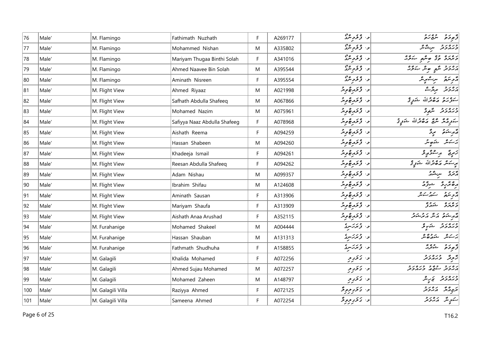| 76  | Male' | M. Flamingo       | Fathimath Nuzhath            | F         | A269177 | د. وعج وهو                 | ترجوحه متبيء                     |
|-----|-------|-------------------|------------------------------|-----------|---------|----------------------------|----------------------------------|
| 77  | Male' | M. Flamingo       | Mohammed Nishan              | M         | A335802 | وسى قرىر مىرى              | ورەرو سىشەر                      |
| 78  | Male' | M. Flamingo       | Mariyam Thugaa Binthi Solah  | F         | A341016 | و· وقوجه عدمي              |                                  |
| 79  | Male' | M. Flamingo       | Ahmed Naavee Bin Solah       | M         | A395544 | و· ۇقرىرىدى                | رەر ئىگىم ھىر جۇڭ                |
| 80  | Male' | M. Flamingo       | Aminath Nisreen              | F         | A395554 | و· ۇقرىرىدى                | أأدخر للموسر المراجر المراجر     |
| 81  | Male' | M. Flight View    | Ahmed Riyaaz                 | M         | A021998 | د· وُمَحَمَّدِ هُوَ پَرُ   | رەرو بروگ                        |
| 82  | Male' | M. Flight View    | Safhath Abdulla Shafeeq      | M         | A067866 | و· وڅوړځ و پر              | ے ویرو برہ مراللہ خورپی          |
| 83  | Male' | M. Flight View    | Mohamed Nazim                | M         | A075961 | و· وڅوړځ و پر              | ورەرو گەرە                       |
| 84  | Male' | M. Flight View    | Safiyya Naaz Abdulla Shafeeg | F         | A078968 | و· وُتحدِ عَوِيرٌ          | بر و د ده مرودالله خورٍ د        |
| 85  | Male' | M. Flight View    | Aishath Reema                | F         | A094259 | و· وُمَحَمْدِ هُومْ        | أأمر منكوم المحمدة               |
| 86  | Male' | M. Flight View    | Hassan Shabeen               | M         | A094260 | و· وُمَحَمْدِ هُومْ        |                                  |
| 87  | Male' | M. Flight View    | Khadeeja Ismail              | F         | A094261 | و· وڅوړځ و پر              | كزمرة وستحويد                    |
| 88  | Male' | M. Flight View    | Reesan Abdulla Shafeeq       | F         | A094262 | و· وڅوړځ و پر              | بركوم وَصْحْرَاللّهِ خَوَرٍ فَي  |
| 89  | Male' | M. Flight View    | Adam Nishau                  | M         | A099357 | د· ۇڭرىۋە ب <sup>ە</sup>   | أردره سريقهم                     |
| 90  | Male' | M. Flight View    | Ibrahim Shifau               | ${\sf M}$ | A124608 | د· وڅوړځ و پر              | رە ئەر ئىسى ئە                   |
| 91  | Male' | M. Flight View    | Aminath Sausan               | F         | A313906 | و· وُحَمَدِ عَوِيرٌ        | أترجر تتمريح المتوسكة            |
| 92  | Male' | M. Flight View    | Mariyam Shaufa               | F         | A313909 | ح · تر څو مربع و پر        | ره ره دونو<br>د <i>بر بر</i> ونو |
| 93  | Male' | M. Flight View    | Aishath Anaa Arushad         | F         | A352115 | و· وُتخدِعْ وِ رُ          |                                  |
| 94  | Male' | M. Furahanige     | Mohamed Shakeel              | M         | A004444 | - وترتر مرت                | دره در در عند و                  |
| 95  | Male' | M. Furahanige     | Hassan Shauban               | M         | A131313 | ە <sub>ئ</sub> ە ئەترىسىدى | يركبون المردومور                 |
| 96  | Male' | M. Furahanige     | Fathmath Shudhuha            | F         | A158855 | ە . ئۇتترىسىدى             | ژُهِ دَمَ شَعْرَبُ               |
| 97  | Male' | M. Galagili       | Khalida Mohamed              | F         | A072256 | وسمحورم                    | رَّجورَ ويرەرو                   |
| 98  | Male' | M. Galagili       | Ahmed Sujau Mohamed          | M         | A072257 | <br> وسمى تورم             |                                  |
| 99  | Male' | M. Galagili       | Mohamed Zaheen               | M         | A148797 | <br> وسمح تحرمو محر        | ورەرو پړیو                       |
| 100 | Male' | M. Galagili Villa | Raziyya Ahmed                | F         | A072125 | و· ئۈنمەمرەمۇ              | א מי הסקב                        |
| 101 | Male' | M. Galagili Villa | Sameena Ahmed                | F         | A072254 | ە ئەقەموە ۋ                | ے پر مدد د                       |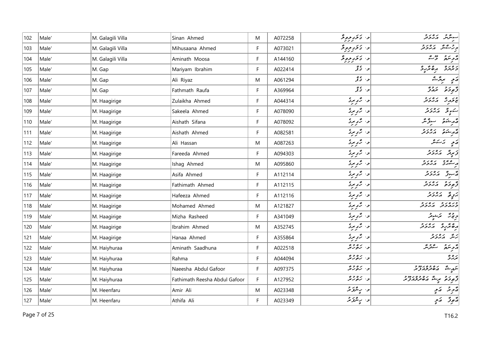| 102 | Male' | M. Galagili Villa | Sinan Ahmed                   | M         | A072258 | وسى ئۇر بورۇ                     | سوسر سر مرد در در د                                                           |
|-----|-------|-------------------|-------------------------------|-----------|---------|----------------------------------|-------------------------------------------------------------------------------|
| 103 | Male' | M. Galagili Villa | Mihusaana Ahmed               | F         | A073021 | و· ئۈتمەمرەمۇ                    | در مشتر بره رو                                                                |
| 104 | Male' | M. Galagili Villa | Aminath Moosa                 | F         | A144160 | -<br> - ئىخ ئەمرىرىمى            | أزوينهم وحث                                                                   |
| 105 | Male' | M. Gap            | Mariyam Ibrahim               | F         | A022414 | و. ی و                           | ر ه ر ه<br>تر بر بر<br>ەرھەترىر <sup>ى</sup>                                  |
| 106 | Male' | M. Gap            | Ali Riyaz                     | ${\sf M}$ | A061294 | و. وهي                           | ړې برېژننه<br>مو                                                              |
| 107 | Male' | M. Gap            | Fathmath Raufa                | F         | A369964 | و٠ وو                            | و دو دوو                                                                      |
| 108 | Male' | M. Haagirige      | Zulaikha Ahmed                | F         | A044314 | ح• شىمە ئىرى<br>مەسىرىرى         | ج ځمر شه پر پر د تر                                                           |
| 109 | Male' | M. Haagirige      | Sakeela Ahmed                 | F         | A078090 | و· گویوگی<br>م                   | سَمَا حَرَّ مَ مَدَّدَ مَدْ                                                   |
| 110 | Male' | M. Haagirige      | Aishath Sifana                | F         | A078092 | لى مەندى<br>كىمەندىكى            | لەر ئىككى سوۋىتر                                                              |
| 111 | Male' | M. Haagirige      | Aishath Ahmed                 | F         | A082581 | ح• گړېونکه<br>مرکز               | $\frac{1}{2}$                                                                 |
| 112 | Male' | M. Haagirige      | Ali Hassan                    | M         | A087263 | ح• گړېونکه<br>مرکز               | أەي برسىش                                                                     |
| 113 | Male' | M. Haagirige      | Fareeda Ahmed                 | F         | A094303 | د . گړېو کا<br>مړينې             | توسيرة المتحدد                                                                |
| 114 | Male' | M. Haagirige      | Ishag Ahmed                   | M         | A095860 | و . شي بيره<br>و . شي بيره       | د صغير د د د د                                                                |
| 115 | Male' | M. Haagirige      | Asifa Ahmed                   | F         | A112114 | د . رژ <sub>و</sub> بردگی<br>د . | ۇسوۋە مەددىر                                                                  |
| 116 | Male' | M. Haagirige      | Fathimath Ahmed               | F         | A112115 | ح• شىمە ئىرى<br>مەسىرىر          | و د د دره د                                                                   |
| 117 | Male' | M. Haagirige      | Hafeeza Ahmed                 | F         | A112116 | و۰ گریمر <sup>ی</sup><br>مرکز    | برويح متمحص                                                                   |
| 118 | Male' | M. Haagirige      | Mohamed Ahmed                 | ${\sf M}$ | A121827 | -<br> - رنگو مورگه<br> - رنگ     | כנסנכ נסנכ<br>כגמכת הגבת                                                      |
| 119 | Male' | M. Haagirige      | Mizha Rasheed                 | F         | A341049 | ح• شحي مرد<br>ح• شحير مرد        | <i>دې ته</i> سمک ښوند                                                         |
| 120 | Male' | M. Haagirige      | Ibrahim Ahmed                 | M         | A352745 | و، شي بره<br>و، شي بره           | دە ئەرد دەرد                                                                  |
| 121 | Male' | M. Haagirige      | Hanaa Ahmed                   | F         | A355864 | ح• شي بره<br>ح• شي               | ژنگر بر ژوئر                                                                  |
| 122 | Male' | M. Haiyhuraa      | Aminath Saadhuna              | F         | A022518 | ر دە دى<br>د گەرىم               | أأرمز المعتقر المتعمر                                                         |
| 123 | Male' | M. Haiyhuraa      | Rahma                         | F         | A044094 | و . رە د بۇ                      | بره پ                                                                         |
| 124 | Male' | M. Haiyhuraa      | Naeesha Abdul Gafoor          | F         | A097375 | وسره و و پ                       | شهر شهر ماه ۲۶۰٬۰۶۰<br>سمی <sup>من</sup> ه ما <i>ه تر <del>د</del> از ب</i> ر |
| 125 | Male' | M. Haiyhuraa      | Fathimath Reesha Abdul Gafoor | F         | A127952 | وسره و و پ                       | د د د د ده ده د د د د د د د د د                                               |
| 126 | Male' | M. Heenfaru       | Amir Ali                      | M         | A023348 | د. رٍسْمَدُ پُرُ                 | پ <sup>و</sup> جر<br>م<br>ەئىيە                                               |
| 127 | Male' | M. Heenfaru       | Athifa Ali                    | F         | A023349 | <mark>و، رٍسْمَدَ بَرْ</mark>    | ړېږ د کړ                                                                      |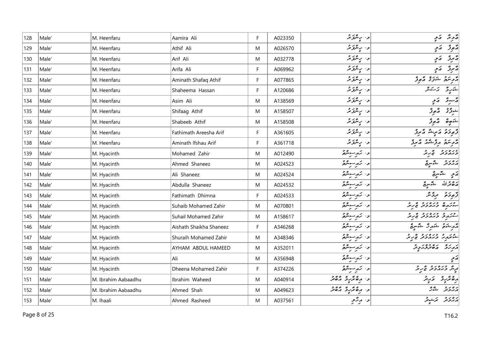| 128 | Male' | M. Heenfaru         | Aamira Ali              | F           | A023350 | ار. رٍ عُدَ يَرُ                       | قرحر متمه<br>ەنىپە                                |
|-----|-------|---------------------|-------------------------|-------------|---------|----------------------------------------|---------------------------------------------------|
| 129 | Male' | M. Heenfaru         | Athif Ali               | M           | A026570 | ر <sub>سم</sub> بروتر تر               | رځمنې                                             |
| 130 | Male' | M. Heenfaru         | Arif Ali                | M           | A032778 | <mark>ى رىشۇن</mark> مۇ                | $3, 5, 6$<br>$3, 5, 6$<br>ەئىسىيە                 |
| 131 | Male' | M. Heenfaru         | Arifa Ali               | F           | A069962 | او. ریندند<br>—                        | ەتىرۇ مەر                                         |
| 132 | Male' | M. Heenfaru         | Aminath Shafaq Athif    | $\mathsf F$ | A077865 | <sub>د س</sub> مبر میوند               | أوسكة خزكة أأوق                                   |
| 133 | Male' | M. Heenfaru         | Shaheema Hassan         | $\mathsf F$ | A120686 | <mark>وسي شرتم</mark> تر               | لمكركي الكاسكانكر                                 |
| 134 | Male' | M. Heenfaru         | Asim Ali                | M           | A138569 | د <sub>س</sub> ر پروتر تر              | ړ سرد ډېر                                         |
| 135 | Male' | M. Heenfaru         | Shifaag Athif           | M           | A158507 | <mark>ى رىشۇن</mark> مۇ                | ے وگ <sup>2</sup><br>مر<br>وتهجوفر                |
| 136 | Male' | M. Heenfaru         | Shabeeb Athif           | M           | A158508 | <mark>وسي شرز تر</mark>                | شوه مهجو                                          |
| 137 | Male' | M. Heenfaru         | Fathimath Areesha Arif  | $\mathsf F$ | A361605 | <mark>وسي شرتم</mark> تر               | أراوده كالميث كالمرو                              |
| 138 | Male' | M. Heenfaru         | Aminath Ifshau Arif     | F           | A361718 | د ، رِ عُدُ تَمَ                       | أأدينه روشاه أيرو                                 |
| 139 | Male' | M. Hyacinth         | Mohamed Zahir           | M           | A012490 | و به سوهو                              |                                                   |
| 140 | Male' | M. Hyacinth         | Ahmed Shaneez           | M           | A024523 | و، ئەرسىتىھ                            | رەرو شەرى                                         |
| 141 | Male' | M. Hyacinth         | Ali Shaneez             | M           | A024524 | وسنهر سوهو                             | أركمو التشريح                                     |
| 142 | Male' | M. Hyacinth         | Abdulla Shaneez         | M           | A024532 | د . <sub>سکيم</sub> سو ش <sub>عر</sub> | صقعرالله<br>ڪَ س <sub>ر</sub> ي                   |
| 143 | Male' | M. Hyacinth         | Fathimath Dhimna        | F           | A024533 | و· ئەرسىتى ۋە                          | ژوځو تروگر                                        |
| 144 | Male' | M. Hyacinth         | Suhaib Mohamed Zahir    | M           | A070801 | ه زمر سوهره<br>مسير                    | بتركده وره دو و د                                 |
| 145 | Male' | M. Hyacinth         | Suhail Mohamed Zahir    | M           | A158617 | وستمرسو عروقم                          | لتركد و دره د و ځريز                              |
| 146 | Male' | M. Hyacinth         | Aishath Shaikha Shaneez | F           | A346268 | <sub>و</sub> ، ئەرسىتىھ <mark>.</mark> | وكرم شكرة متكاسرة                                 |
| 147 | Male' | M. Hyacinth         | Shuraih Mohamed Zahir   | M           | A348346 | د· ئەرسىتىھ                            | كالمحمدة ورودو لارتز                              |
| 148 | Male' | M. Hyacinth         | AYHAM ABDUL HAMEED      | M           | A352011 | ه زمر سوهره<br>مستقر                   | $rac{2}{\sqrt{2}}$<br>ره وه ر د<br>پره تروپر و تر |
| 149 | Male' | M. Hyacinth         | Ali                     | M           | A356948 | و· ئەرسىتىھ                            | رځمنه                                             |
| 150 | Male' | M. Hyacinth         | Dheena Mohamed Zahir    | F           | A374226 | وسنهر سوهي                             | درنگ و بره بر در عربه<br>پرنگ و بربرونتر مخ برنگ  |
| 151 | Male' | M. Ibrahim Aabaadhu | Ibrahim Waheed          | M           | A040914 |                                        | مەممەد ئەيد                                       |
| 152 | Male' | M. Ibrahim Aabaadhu | Ahmed Shah              | M           | A049623 | و٠ رەمزىرو كەن                         | رەرە بەر                                          |
| 153 | Male' | M. Ihaali           | Ahmed Rasheed           | M           | A037561 | د· م <i>رش</i> عر                      | رەر ئەستىر<br>مەرىر ئەسىر                         |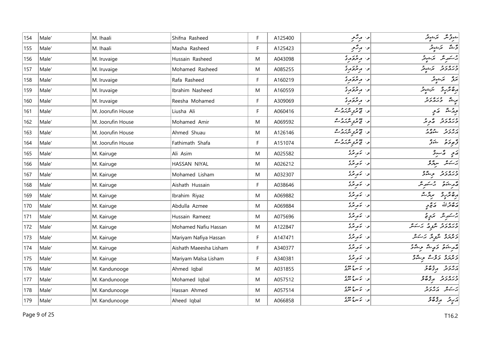| 154 | Male' | M. Ihaali         | Shifna Rasheed         | F         | A125400 | و <sub>ا</sub> ورڅو                                     |                                                      |
|-----|-------|-------------------|------------------------|-----------|---------|---------------------------------------------------------|------------------------------------------------------|
| 155 | Male' | M. Ihaali         | Masha Rasheed          | F.        | A125423 | د ۱ م <i>رگ</i> و                                       | شور میں کرشور<br>استور میں کرکھور<br>وی شہر کر میں ا |
| 156 | Male' | M. Iruvaige       | Hussain Rasheed        | M         | A043098 | و· مرمزه مره                                            | ج سکهر مگر مگر مگر می محمد                           |
| 157 | Male' | M. Iruvaige       | Mohamed Rasheed        | M         | A085255 | د· مرمومرد<br>د مرمومرد                                 | وره د و سر د د د کار د د کرد.<br>د بر بر د کار د سر  |
| 158 | Male' | M. Iruvaige       | Rafa Rasheed           | F         | A160219 | ا د مه مرغم د کا                                        | ىرۇ گەنشۇقر                                          |
| 159 | Male' | M. Iruvaige       | Ibrahim Nasheed        | M         | A160559 | و· معجوم                                                | رەپر دەسىيەتە<br>دەپرىي سىشىتە                       |
| 160 | Male' | M. Iruvaige       | Reesha Mohamed         | F         | A309069 | و· معجم و                                               | بريش وره رو                                          |
| 161 | Male' | M. Joorufin House | Liusha Ali             | F         | A060416 | د. قيمبر مرسم م                                         | حرم مع من                                            |
| 162 | Male' | M. Joorufin House | Mohamed Amir           | ${\sf M}$ | A069592 | <sub>و</sub> . ق <sub>ە</sub> جرى <sub>ر</sub> شرىر مەھ | כנסנב בבי                                            |
| 163 | Male' | M. Joorufin House | Ahmed Shuau            | M         | A126146 | د به ق <i>ومتر و شرکت ش</i>                             | ره رح در در<br>پررتو شور                             |
| 164 | Male' | M. Joorufin House | Fathimath Shafa        | F.        | A151074 | <sub>ور</sub> ویرو عربر و م                             | تۇپوچۇ شۆۋ                                           |
| 165 | Male' | M. Kairuge        | Ali Asim               | M         | A025582 | وستمهر بزى                                              | $rac{1}{2}$                                          |
| 166 | Male' | M. Kairuge        | HASSAN NIYAL           | M         | A026212 | د . مأمر برد                                            | ير سر سرگر شر                                        |
| 167 | Male' | M. Kairuge        | Mohamed Lisham         | M         | A032307 | د . مأمر برد                                            | ورەرو بورمو                                          |
| 168 | Male' | M. Kairuge        | Aishath Hussain        | F         | A038646 | وستمهر بزى                                              | أقهر مشوق برسكور مثل                                 |
| 169 | Male' | M. Kairuge        | Ibrahim Riyaz          | M         | A069882 | د· ئەمەتىرى                                             | أرەنزىر بىرزىش                                       |
| 170 | Male' | M. Kairuge        | Abdulla Azmee          | M         | A069884 | و· مَارِ پِروَ                                          | أشق مرالله المرجم و                                  |
| 171 | Male' | M. Kairuge        | Hussain Rameez         | M         | A075696 | د· ئەمرىترى                                             | برسكر مركز                                           |
| 172 | Male' | M. Kairuge        | Mohamed Nafiu Hassan   | M         | A122847 | و· عامر چری                                             | ورەرو ئور ئەسكىر                                     |
| 173 | Male' | M. Kairuge        | Mariyam Nafiya Hassan  | F         | A147471 | د· ئەمرىترى                                             | دورو شریز پرسک                                       |
| 174 | Male' | M. Kairuge        | Aishath Maeesha Lisham | F         | A340377 | د . مأمر برد                                            | أأرشكم وريث ويكو                                     |
| 175 | Male' | M. Kairuge        | Mariyam Malsa Lisham   | F         | A340381 | د . مأمر پرې<br>د                                       | دەرە رور ورشى                                        |
| 176 | Male' | M. Kandunooge     | Ahmed Iqbal            | M         | A031855 | و . که سوه دوه<br>و . که سوه سری                        | ده د د د د د د د                                     |
| 177 | Male' | M. Kandunooge     | Mohamed Iqbal          | M         | A057512 | و کما سرچ ووړ                                           | כנסני גם 20<br>כגתכת גבסב                            |
| 178 | Male' | M. Kandunooge     | Hassan Ahmed           | M         | A057514 | و . که سوه دوه<br>و . که سوه سری                        | يركبش المرورو                                        |
| 179 | Male' | M. Kandunooge     | Aheed Iqbal            | M         | A066858 | حەس ئەس قىزى                                            | أربر ودهو                                            |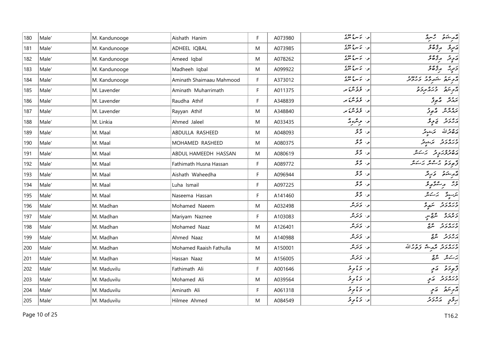|     |       |               |                          |             |         | ح به کم سر <sup>2</sup> میری   |                                         |
|-----|-------|---------------|--------------------------|-------------|---------|--------------------------------|-----------------------------------------|
| 180 | Male' | M. Kandunooge | Aishath Hanim            | F           | A073980 |                                |                                         |
| 181 | Male' | M. Kandunooge | ADHEEL IQBAL             | M           | A073985 | ح به کم سر <sup>2</sup> میری   | ړنږي پره ده                             |
| 182 | Male' | M. Kandunooge | Ameed Iqbal              | M           | A078262 | ح به کم سر <sup>2</sup> میری   | ړ په د په د                             |
| 183 | Male' | M. Kandunooge | Madheeh Iqbal            | M           | A099922 | ح به کم سر <sup>2</sup> میری   | دَىرى مۇھۇ                              |
| 184 | Male' | M. Kandunooge | Aminath Shaimaau Mahmood | $\mathsf F$ | A373012 | د . س سره دوه<br>د . س سره سره | הקייטה ביוקרה במכני                     |
| 185 | Male' | M. Lavender   | Aminath Muharrimath      | $\mathsf F$ | A011375 | و· ۇەھەبەر                     | הקייטה במה תב                           |
| 186 | Male' | M. Lavender   | Raudha Athif             | F           | A348839 | و· ۇەھمەتكە بىر                | برديز مجموز                             |
| 187 | Male' | M. Lavender   | Rayyan Athif             | M           | A348840 | و کو نوعو مر                   | برە بە ھ<br>رحمي وحم                    |
| 188 | Male' | M. Linkia     | Ahmed Jaleel             | M           | A033435 | د· ویثربورمج                   | پروژو تخ دٍ و                           |
| 189 | Male' | M. Maal       | ABDULLA RASHEED          | M           | A048093 | و٠ وگو                         | أرة فرالله ترجونر                       |
| 190 | Male' | M. Maal       | MOHAMED RASHEED          | M           | A080375 | و٠ وگ                          | وره رو برشوتر<br>د <i>بر برش</i> وتر    |
| 191 | Male' | M. Maal       | ABDUL HAMEEDH HASSAN     | M           | A080619 | و. دڅو                         | גם כפגב ברי האריות.<br>הסתבה ברי האריות |
| 192 | Male' | M. Maal       | Fathimath Husna Hassan   | F.          | A089772 | و٠ وگو                         | ۇ بەر دەپ بار بار                       |
| 193 | Male' | M. Maal       | Aishath Waheedha         | F           | A096944 | و٠ وگو                         | مەرخىق ق.يىر                            |
| 194 | Male' | M. Maal       | Luha Ismail              | F           | A097225 | و٠ وگو                         | وو رحوړي                                |
| 195 | Male' | M. Maal       | Naseema Hassan           | F           | A141460 | و٠ وگو                         | يترسوق - يركبون كل                      |
| 196 | Male' | M. Madhan     | Mohamed Naeem            | M           | A032498 | و٠ وَتَرَسُ                    | ورەرو سَمرٍو                            |
| 197 | Male' | M. Madhan     | Mariyam Naznee           | F           | A103083 | و٠ وَتَرَسُ                    | دەرە شىمىر                              |
| 198 | Male' | M. Madhan     | Mohamed Naaz             | M           | A126401 | و٠ وَتَرَسُ                    | سرچ<br>و ره ر د<br>تر پر ژ تر           |
| 199 | Male' | M. Madhan     | Ahmed Naaz               | M           | A140988 | و٠ وَتَرَسُ                    | رەر ئەھ                                 |
| 200 | Male' | M. Madhan     | Mohamed Raaish Fathulla  | M           | A150001 | و٠ وَتَرَسُ                    | وبرەرد محمديث و وبرالله                 |
| 201 | Male' | M. Madhan     | Hassan Naaz              | M           | A156005 | و٠ وَتَرَسُ                    | ىز سەش ئىرچ                             |
| 202 | Male' | M. Maduvilu   | Fathimath Ali            | F           | A001646 | والتحقيقي                      | وٌمودَهُ کَمَنٍ                         |
| 203 | Male' | M. Maduvilu   | Mohamed Ali              | M           | A039564 | <mark>ى ئەق</mark> مۇقر        | ورەر د كړ                               |
| 204 | Male' | M. Maduvilu   | Aminath Ali              | F.          | A061318 | والتحقيقي                      | ړ وسره له کړ                            |
| 205 | Male' | M. Maduvilu   | Hilmee Ahmed             | M           | A084549 | والمحكموقر                     | پروې د بره پروند                        |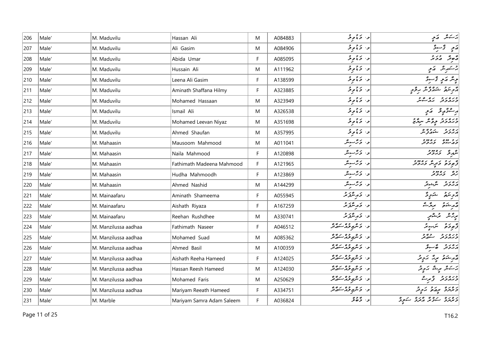| 206 | Male' | M. Maduvilu          | Hassan Ali                | M  | A084883 | و، ئۇيمۇقى                                        | پرستانش الایچ                                                                                                                                                                                                          |
|-----|-------|----------------------|---------------------------|----|---------|---------------------------------------------------|------------------------------------------------------------------------------------------------------------------------------------------------------------------------------------------------------------------------|
| 207 | Male' | M. Maduvilu          | Ali Gasim                 | M  | A084906 | —<br> د· دَ ڏُوڻر                                 | ړې ت <sub>خ</sub> سره<br>مړينې                                                                                                                                                                                         |
| 208 | Male' | M. Maduvilu          | Abida Umar                | F. | A085095 | د کوڏوڻر                                          |                                                                                                                                                                                                                        |
| 209 | Male' | M. Maduvilu          | Hussain Ali               | M  | A111962 | د کی کوی                                          | جر سکه شده که کرد.<br>مسلم سرگه کرد.                                                                                                                                                                                   |
| 210 | Male' | M. Maduvilu          | Leena Ali Gasim           | F  | A138599 | والتج فجمعوفر                                     | دٍ مَدَّرٍ وَّسِيْرَ                                                                                                                                                                                                   |
| 211 | Male' | M. Maduvilu          | Aminath Shaffana Hilmy    | F  | A323885 | د کی کوځ                                          |                                                                                                                                                                                                                        |
| 212 | Male' | M. Maduvilu          | Mohamed Hassaan           | M  | A323949 | د کوڏوگر                                          | ورەرو رەھبەر                                                                                                                                                                                                           |
| 213 | Male' | M. Maduvilu          | Ismail Ali                | M  | A326538 | والمحكموقر                                        | بر شۇم ئۇ مەير                                                                                                                                                                                                         |
| 214 | Male' | M. Maduvilu          | Mohamed Leevan Niyaz      | M  | A351698 | د کی د د د                                        | ورەرو چەگە سرگە                                                                                                                                                                                                        |
| 215 | Male' | M. Maduvilu          | Ahmed Shaufan             | M  | A357995 | د کانوگر                                          | رەرد شەددە<br>مەردىس شە <i>م</i> ۇش                                                                                                                                                                                    |
| 216 | Male' | M. Mahaasin          | Mausoom Mahmood           | M  | A011041 | د ۰ د ژگسویژ                                      | ر د دده<br>د پرسر                                                                                                                                                                                                      |
| 217 | Male' | M. Mahaasin          | Naila Mahmood             | F. | A120898 | - ئۇ ئۇسىرىمى                                     | شریح - ده دوم                                                                                                                                                                                                          |
| 218 | Male' | M. Mahaasin          | Fathimath Madeena Mahmood | F  | A121965 | و. دَرَّسهِ م                                     | أو بادا و بالمستخدم و دور د                                                                                                                                                                                            |
| 219 | Male' | M. Mahaasin          | Hudha Mahmoodh            | F  | A123869 | ە ئەرمىسىر                                        | و د دوو<br>رنگ وبرونر                                                                                                                                                                                                  |
| 220 | Male' | M. Mahaasin          | Ahmed Nashid              | M  | A144299 | ە ئە ئەسىر                                        | رەر دە ئەسىر<br>مەرىر ئىگىنىدىر                                                                                                                                                                                        |
| 221 | Male' | M. Mainaafaru        | Aminath Shameema          | F  | A055945 | د <sub>ز ک</sub> رېترنگه                          | أأدجر المستورة                                                                                                                                                                                                         |
| 222 | Male' | M. Mainaafaru        | Aishath Riyaza            | F. | A167259 | د <sub>ز ک</sub> ریژنز تر                         | وأمر يشكون المرمركنة                                                                                                                                                                                                   |
| 223 | Male' | M. Mainaafaru        | Reehan Rushdhee           | M  | A330741 | د <sub>ز ک</sub> ریژنز تر                         | الرائر من المراكب المراكب المراكب المراكب المراكب المراكب المراكب المراكب المراكب المراكب المراكب ال<br>المراكب المراكب المراكب المراكب المراكب المراكب المراكب المراكب المراكب المراكب المراكب المراكب المراكب المراك |
| 224 | Male' | M. Manzilussa aadhaa | Fathimath Naseer          | F  | A046512 | و٠ وَسمع وه روم                                   | تزجوخا مترسوند                                                                                                                                                                                                         |
| 225 | Male' | M. Manzilussa aadhaa | Mohamed Suad              | M  | A085362 | و کا کاروال دیگار<br>و کارو کارو کارونگر          | ورەر د دەر<br><i>دى</i> رمەتر سەھەتر                                                                                                                                                                                   |
| 226 | Male' | M. Manzilussa aadhaa | Ahmed Basil               | M  | A100359 | د . ئ <i>ې شرقه شوړ</i> تر                        | أرور والمسوفر                                                                                                                                                                                                          |
| 227 | Male' | M. Manzilussa aadhaa | Aishath Reeha Hameed      | F  | A124025 | و٠ د کرمرح وه د مرور<br>د ۱۶ کرمرح وړک            | وأمر مشكرة المجرار والمراجع                                                                                                                                                                                            |
| 228 | Male' | M. Manzilussa aadhaa | Hassan Reesh Hameed       | M  | A124030 | ر <sub>ز ك</sub> رېږو كرورته                      | يركبش لإلقا يرواقر                                                                                                                                                                                                     |
| 229 | Male' | M. Manzilussa aadhaa | Mohamed Faris             | M  | A250629 | <sub>ج∙</sub> ځندې څوړک موټر                      | ورەرو ۋىرے                                                                                                                                                                                                             |
| 230 | Male' | M. Manzilussa aadhaa | Mariyam Reeath Hameed     | F  | A334751 | <sub>ج∙</sub> ځند <sub>ي څ</sub> وړ <i>سوړ</i> ند | כמתכ מגב גבב                                                                                                                                                                                                           |
| 231 | Male' | M. Marble            | Mariyam Samra Adam Saleem | F  | A036824 | د گەنۇ                                            | ן סנים נים שנים לקבר                                                                                                                                                                                                   |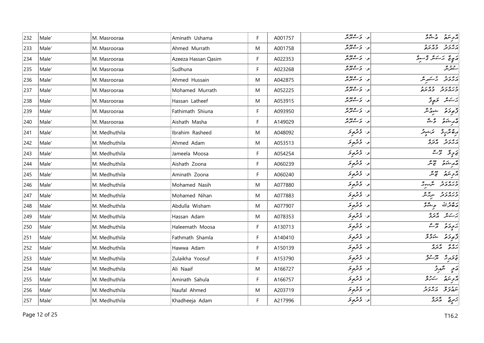| 232 | Male' | M. Masrooraa  | Aminath Ushama      | F | A001757 | وستحريبهم والمحرمو      | أأروسكم المراجع                                                                                                                                                                                                                  |
|-----|-------|---------------|---------------------|---|---------|-------------------------|----------------------------------------------------------------------------------------------------------------------------------------------------------------------------------------------------------------------------------|
| 233 | Male' | M. Masrooraa  | Ahmed Murrath       | M | A001758 | وسر كر دوري             | נים נים נים ניירי ביו המודעים ביו המודעים ביו המודעים ביו ליירי ביו ליירו ביו לייר ביו לייר ביו ביו לייר ביו ל<br>המודעים ביו ליירושים ביו לייר ביו לייר ביו לייר ביו לייר ביו לייר ביו לייר ביו לייר ביו לייר ביו לייר ביו לייר |
| 234 | Male' | M. Masrooraa  | Azeeza Hassan Qasim | F | A022353 | وستحريب ودويو           | أَرَبِيءَ بَرَسَمْرٌ تَرْسُرُ وَ                                                                                                                                                                                                 |
| 235 | Male' | M. Masrooraa  | Sudhuna             | F | A023268 | و . كەسىرتىر            | سەدىرىتر                                                                                                                                                                                                                         |
| 236 | Male' | M. Masrooraa  | Ahmed Hussain       | M | A042875 | و ، ئەسىرىر             | رەرو جەسىر س                                                                                                                                                                                                                     |
| 237 | Male' | M. Masrooraa  | Mohamed Murrath     | M | A052225 | وسر كر دوري             | כנסנכ כסנכ<br><i>כג</i> מכנ <sub>י</sub> כמינים                                                                                                                                                                                  |
| 238 | Male' | M. Masrooraa  | Hassan Latheef      | M | A053915 | و ، بۇ سەيدىر           | پرستانگر انجامچونو                                                                                                                                                                                                               |
| 239 | Male' | M. Masrooraa  | Fathimath Shiuna    | F | A093950 | وستحريبهم والمحرمون     | قرجوحتم مشوره يثمر                                                                                                                                                                                                               |
| 240 | Male' | M. Masrooraa  | Aishath Masha       | F | A149029 | وسر كر دوري             | و گرمشو کار<br>مرکز مشو کار<br>ر پیشتر                                                                                                                                                                                           |
| 241 | Male' | M. Medhuthila | Ibrahim Rasheed     | M | A048092 | و· د توموځه             | رەڭرو كەشوقە                                                                                                                                                                                                                     |
| 242 | Male' | M. Medhuthila | Ahmed Adam          | M | A053513 | والمحوضجة               | پره پر و<br>پور ہ<br>پرترو                                                                                                                                                                                                       |
| 243 | Male' | M. Medhuthila | Jameela Moosa       | F | A054254 | —<br> و· وګرمونځه       | يَا حِي حَمْد حَمْد حَمْد حَمْد                                                                                                                                                                                                  |
| 244 | Male' | M. Medhuthila | Aishath Zoona       | F | A060239 | والمحقرة وتحر           | و گرېنو کو<br>دو میں<br>س                                                                                                                                                                                                        |
| 245 | Male' | M. Medhuthila | Aminath Zoona       | F | A060240 | و· ڈنڈ پر تر            | ړٌ پر په دره پر                                                                                                                                                                                                                  |
| 246 | Male' | M. Medhuthila | Mohamed Nasih       | M | A077880 | و کوترو ځر              | ورەرو شەر                                                                                                                                                                                                                        |
| 247 | Male' | M. Medhuthila | Mohamed Nihan       | M | A077883 | و· ڈنڈوکر               | و رە ر د<br><i>د بە</i> پەر<br>سربرهم                                                                                                                                                                                            |
| 248 | Male' | M. Medhuthila | Abdulla Wisham      | M | A077907 | والمحقرة وتحر           | أرة قرالله وشرده                                                                                                                                                                                                                 |
| 249 | Male' | M. Medhuthila | Hassan Adam         | M | A078353 | <mark>وستحقر محر</mark> | پرسکس گرفترو                                                                                                                                                                                                                     |
| 250 | Male' | M. Medhuthila | Haleemath Moosa     | F | A130713 | و· ڈنڈوکر               | دين مشر<br>  پر پوځ تو<br>                                                                                                                                                                                                       |
| 251 | Male' | M. Medhuthila | Fathmath Shamla     | F | A140410 | والمحقرة وتحر           | ا تو بر در<br>ا<br>شەۋ ئۇ                                                                                                                                                                                                        |
| 252 | Male' | M. Medhuthila | Hawwa Adam          | F | A150139 | و· ڈنڈ پر تر            | رە پەرە<br>بەرى مەنرى                                                                                                                                                                                                            |
| 253 | Male' | M. Medhuthila | Zulaikha Yoosuf     | F | A153790 | والمحقرة وتحر           | ەر جەمۇ<br>چ ئۇ م <sup>ەش</sup> ر                                                                                                                                                                                                |
| 254 | Male' | M. Medhuthila | Ali Naaif           | M | A166727 | و وقرمونځ               | ړې شمرز                                                                                                                                                                                                                          |
| 255 | Male' | M. Medhuthila | Aminath Sahula      | F | A166757 | و· د توموځه             | أرمح سوريح سنرجو                                                                                                                                                                                                                 |
| 256 | Male' | M. Medhuthila | Naufal Ahmed        | M | A203719 | و· ڈنڈوکر               | سمەتەتى<br>پروژو                                                                                                                                                                                                                 |
| 257 | Male' | M. Medhuthila | Khadheeja Adam      | F | A217996 | والمحقرة وكمر           | زَمِيعٌ مُرَمَّرٌ                                                                                                                                                                                                                |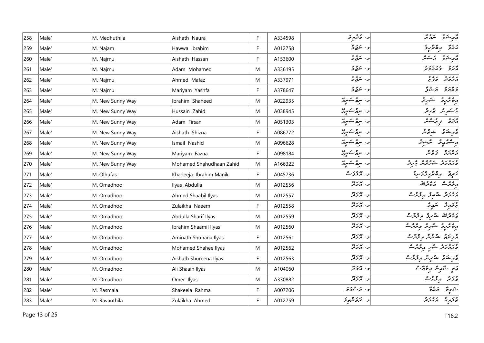| 258 | Male' | M. Medhuthila    | Aishath Naura            | F           | A334598 | وستحقره بحر                     |                                                |
|-----|-------|------------------|--------------------------|-------------|---------|---------------------------------|------------------------------------------------|
| 259 | Male' | M. Najam         | Hawwa Ibrahim            | $\mathsf F$ | A012758 | وستمقظ                          | برەپچ<br>ەرھ ئ <sup>ۆ</sup> ر ۋ                |
| 260 | Male' | M. Najmu         | Aishath Hassan           | F           | A153600 | وستماني و                       | مەر شۇق بەسكىل                                 |
| 261 | Male' | M. Najmu         | Adam Mohamed             | M           | A336195 | وستمانج و                       | و ر ه ر و<br><i>و پر</i> و تر<br>پھر ہ<br>دگرو |
| 262 | Male' | M. Najmu         | Ahmed Mafaz              | M           | A337971 | و . سگه و                       | رەر درە                                        |
| 263 | Male' | M. Najmu         | Mariyam Yashfa           | F.          | A378647 | و· سگھاو                        | رەرە بەشۇ                                      |
| 264 | Male' | M. New Sunny Way | Ibrahim Shaheed          | M           | A022935 | <sub>د</sub> . سره کسرهٔ م      | رە ئەر ئىسىدۇ                                  |
| 265 | Male' | M. New Sunny Way | Hussain Zahid            | M           | A038945 | ا د. سره کشتر کلیمنده<br>مسر    | بر مسكر من الح كر بر                           |
| 266 | Male' | M. New Sunny Way | Adam Firsan              | M           | A051303 | <sub>د : سره</sub> سەسرە        | وره ویژگیگر                                    |
| 267 | Male' | M. New Sunny Way | Aishath Shizna           | F           | A086772 | و· سره کشهرهٔ                   | قەرشۇق شوچ ئىگە                                |
| 268 | Male' | M. New Sunny Way | Ismail Nashid            | M           | A096628 | - سره کے سره<br> -              | ەر قەقەر ئەس ئەھمىيەتىر<br>مەسىر قانۇر قىلىمى  |
| 269 | Male' | M. New Sunny Way | Mariyam Fazna            | F           | A098184 | و. سره که سره<br> و. سره که سره | د ورو زویژ                                     |
| 270 | Male' | M. New Sunny Way | Mohamed Shahudhaan Zahid | M           | A166322 | و سره کم کندهٔ                  | ورەرو دەھەم ئەرە                               |
| 271 | Male' | M. Olhufas       | Khadeeja Ibrahim Manik   | F.          | A045736 | <sub>د ب</sub> ه پرور ه         | ترميق وكالمرود ومراد                           |
| 272 | Male' | M. Omadhoo       | Ilyas Abdulla            | M           | A012556 | بر بردد.<br>و اگرونو            | مرعرشه مكافرالله                               |
| 273 | Male' | M. Omadhoo       | Ahmed Shaabil Ilyas      | M           | A012557 | بر برود<br>و ار <i>و</i> لا     | גיבת ביקים גיבת                                |
| 274 | Male' | M. Omadhoo       | Zulaikha Naeem           | F           | A012558 | بر برود<br>و اگرونو             | تحكم تكمي                                      |
| 275 | Male' | M. Omadhoo       | Abdulla Sharif Ilyas     | M           | A012559 | بر برود<br>و اگرونو             | رە داللە ھەمرو مرورم                           |
| 276 | Male' | M. Omadhoo       | Ibrahim Shaamil Ilyas    | M           | A012560 | بر برود<br>و اگرونو             | مقتررة تشرو مؤمره                              |
| 277 | Male' | M. Omadhoo       | Aminath Shunana Ilyas    | F           | A012561 | بر برود<br>و ا ارولا            | و رو دوور دوره<br>مردسي شهرس مردم د            |
| 278 | Male' | M. Omadhoo       | Mohamed Shahee Ilyas     | M           | A012562 | بر برود<br>و ار <i>و</i> لا     | ورەرو ئىر مۇمەم                                |
| 279 | Male' | M. Omadhoo       | Aishath Shureena Ilyas   | F           | A012563 | بر برود<br>و ا ارولا            | ۇرىشۇ شوپىگە بەقەرم                            |
| 280 | Male' | M. Omadhoo       | Ali Shaain Ilyas         | M           | A104060 | י הכנק<br>כי הכנק               | أرَمِ گُرمر مروگرگ                             |
| 281 | Male' | M. Omadhoo       | Omer Ilyas               | M           | A330882 | بر برود<br>و ا ارولا            | ورو مؤمره                                      |
| 282 | Male' | M. Rasmala       | Shakeela Rahma           | F           | A007206 | وستمر شۇ ئەكتى                  | شَرِيرٌ مَرَ يَرُدُّ                           |
| 283 | Male' | M. Ravanthila    | Zulaikha Ahmed           | F           | A012759 | د· ئرۇش <sub>مۇ</sub> ئە        | ج څمرنځ پره د و                                |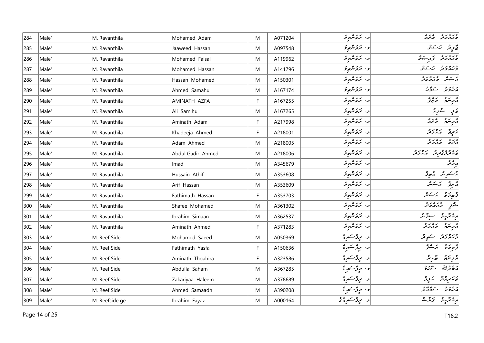| 284 | Male' | M. Ravanthila  | Mohamed Adam      | M           | A071204 | د· ئرۇش <sub>مۇ</sub> ئە                   | وره رو په ره<br><i>وبرم</i> ونر مرتز <i>و</i> |
|-----|-------|----------------|-------------------|-------------|---------|--------------------------------------------|-----------------------------------------------|
| 285 | Male' | M. Ravanthila  | Jaaweed Hassan    | M           | A097548 | د· ئرۇش <sub>مۇ</sub> ئە                   | قح موقر كالكاشر                               |
| 286 | Male' | M. Ravanthila  | Mohamed Faisal    | M           | A119962 | <sub>د :</sub> ئۇغ <sup>ۇ</sup> مۇغ        | ورەرو تەرىبكى                                 |
| 287 | Male' | M. Ravanthila  | Mohamed Hassan    | M           | A141796 | <sub>و</sub> ، ئرۇش <sub>جو</sub> ئى       | ورەرو پەكبەر                                  |
| 288 | Male' | M. Ravanthila  | Hassan Mohamed    | M           | A150301 | د· ئرۇش <sub>مۇ</sub> ئە                   | يركبش ويره برو                                |
| 289 | Male' | M. Ravanthila  | Ahmed Samahu      | M           | A167174 | د· ئرۇش <sub>مۇ</sub> ئە                   | رەرو سەرو                                     |
| 290 | Male' | M. Ravanthila  | AMINATH AZFA      | F           | A167255 | د· ئرۇش <sub>جۇ</sub> ئە                   | أأرجع المعجز                                  |
| 291 | Male' | M. Ravanthila  | Ali Samihu        | M           | A167265 | و· ئۇھ"مۇمۇ                                |                                               |
| 292 | Male' | M. Ravanthila  | Aminath Adam      | F           | A217998 | <i>د· بمؤم</i> ثيومَ                       |                                               |
| 293 | Male' | M. Ravanthila  | Khadeeja Ahmed    | $\mathsf F$ | A218001 | د· ئرۇش <sub>مۇ</sub> ئە                   | تزمرج أأزروجر                                 |
| 294 | Male' | M. Ravanthila  | Adam Ahmed        | M           | A218005 | د· ئرۇش <sub>مۇ</sub> ئە                   | بوره ده در د                                  |
| 295 | Male' | M. Ravanthila  | Abdul Gadir Ahmed | M           | A218006 | <sub>و</sub> . ئرۇش <sub>جو</sub> ئى       | رە دەپرىر بەر دەر<br>مەھىرى تىرىر مەردىر      |
| 296 | Male' | M. Ravanthila  | Imad              | M           | A345679 | د· ئۇق <sub>ە</sub> شھۇقە                  | ەردىر                                         |
| 297 | Male' | M. Ravanthila  | Hussain Athif     | M           | A353608 | د· ئرۇش <sub>جۇ</sub> ئە                   | چە سەر شەھ ھەرى<br>ھەر ئەسەر سەر ھەرى         |
| 298 | Male' | M. Ravanthila  | Arif Hassan       | M           | A353609 | د· ئرۇش <sub>مۇ</sub> ئە                   |                                               |
| 299 | Male' | M. Ravanthila  | Fathimath Hassan  | F           | A353703 | د· ئىر ش <sub>ەر</sub> ئە                  | و دو بر مار                                   |
| 300 | Male' | M. Ravanthila  | Shafee Mohamed    | M           | A361302 | د· ئرۇش <sub>مۇ</sub> ئە                   | مدَّمٍ وره دو                                 |
| 301 | Male' | M. Ravanthila  | Ibrahim Simaan    | M           | A362537 | <i>د· بَدُوَ</i> تَنْهُوِ مَ               | وەنزىرە سوۋىتر                                |
| 302 | Male' | M. Ravanthila  | Aminath Ahmed     | F           | A371283 | د· ئىر ئىمبرىگر                            |                                               |
| 303 | Male' | M. Reef Side   | Mohamed Saeed     | M           | A050369 | <sub>د : میر</sub> وْسَهُ پ <sub>ه</sub>   | ورەرو سەرو                                    |
| 304 | Male' | M. Reef Side   | Fathimath Yasfa   | $\mathsf F$ | A150636 | ح سمبرو سکور ه<br>مخ                       | ژ <sub>بو څ</sub> و پرېږ                      |
| 305 | Male' | M. Reef Side   | Aminath Thoahira  | F           | A323586 | د <sub>: مو</sub> ژبخ <sub>ار</sub> ه<br>م | أأروسكم وأمريكم                               |
| 306 | Male' | M. Reef Side   | Abdulla Saham     | M           | A367285 | <sub>ح</sub> . س <sub>و</sub> و سەر ؟      | ەھىراللە<br>ستزرو                             |
| 307 | Male' | M. Reef Side   | Zakariyaa Haleem  | M           | A378689 | د <sub>: مو</sub> ژڪ <sub>ل</sub> و ۽      | جا ئىر بەر بەر بەر ج                          |
| 308 | Male' | M. Reef Side   | Ahmed Samaadh     | M           | A390208 | د <sub>سمی</sub> و سکه پی                  | ره رو دره وو<br>مهرونس شومرن                  |
| 309 | Male' | M. Reefside ge | Ibrahim Fayaz     | M           | A000164 | د <sub>ب</sub> ېږو که ده د                 | رەپرىرو زېرى                                  |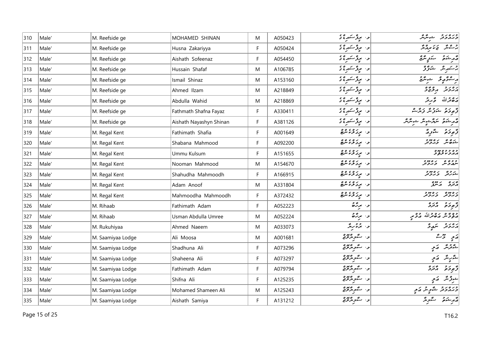| 310 | Male' | M. Reefside ge    | MOHAMED SHINAN          | M  | A050423 | د· برژ سکه د د د               | ورەرو ھەرگە                                     |
|-----|-------|-------------------|-------------------------|----|---------|--------------------------------|-------------------------------------------------|
| 311 | Male' | M. Reefside ge    | Husna Zakariyya         | F  | A050424 | د ، برو سکه ده د               | برحمش بم مرمد                                   |
| 312 | Male' | M. Reefside ge    | Aishath Sofeenaz        | F  | A054450 | <sub>د : بېر</sub> و سکوره د ک | ۇرىسكى سكرېگى                                   |
| 313 | Male' | M. Reefside ge    | Hussain Shafaf          | M  | A106785 | د <sub>سم</sub> وسکه ده د      | چە سەر ئىرۇۋ                                    |
| 314 | Male' | M. Reefside ge    | Ismail Shinaz           | M  | A153160 | د <sub>ب</sub> ېږو که ده د     | بر شۇرچە ھەشتى                                  |
| 315 | Male' | M. Reefside ge    | Ahmed Ilzam             | M  | A218849 | وسيرو سكهره وي                 | - 1010 0000                                     |
| 316 | Male' | M. Reefside ge    | Abdulla Wahid           | M  | A218869 | د <sub>ب</sub> ه پروګ کرده د   | حده قمرالله مح برقر                             |
| 317 | Male' | M. Reefside ge    | Fathmath Shafna Fayaz   | F  | A330411 | <sub>چا</sub> برو سکه دی د     | و و د د د و پر و و د و                          |
| 318 | Male' | M. Reefside ge    | Aishath Nayashyn Shinan | F  | A381126 | د· بېږو شهر وي                 | ر<br>پهرشوځ سرگرشوس شوسر                        |
| 319 | Male' | M. Regal Kent     | Fathimath Shafia        | F  | A001649 | وسي دوء مرة                    | أزُّبُوحَ مُحَسَّرِ مُ                          |
| 320 | Male' | M. Regal Kent     | Shabana Mahmood         | F. | A092200 | وسيرى و ، و ه                  | شەھ شەھ دەھ                                     |
| 321 | Male' | M. Regal Kent     | Ummu Kulsum             | F  | A151655 | وسيرى ولا مرده                 | c o c c o cc<br>11. C u L e C                   |
| 322 | Male' | M. Regal Kent     | Nooman Mahmood          | M  | A154670 | وسيرى ولا تكريج                | ככשים גם בכת<br>יינגליית בגבת                   |
| 323 | Male' | M. Regal Kent     | Shahudha Mahmoodh       | F  | A166915 | ا د. برروه و ه هم              | ر و در دود و<br>شورتر وبروتر                    |
| 324 | Male' | M. Regal Kent     | Adam Anoof              | M  | A331804 | و· برروه مره<br> و· برروما مره | بر ده در دوه<br>پرترو پرسرو                     |
| 325 | Male' | M. Regal Kent     | Mahmoodha Mahmoodh      | F  | A372432 | و٠ مړۍ څرم شرچ                 | ر ס ככל כי ק ס ככב<br>ק <i>ג ק ק ג ק ב</i> ר    |
| 326 | Male' | M. Rihaab         | Fathimath Adam          | F  | A052223 | اد برره                        | تحریح حرم محمد                                  |
| 327 | Male' | M. Rihaab         | Usman Abdulla Umree     | M  | A052224 | و· مورٌة                       | ووء و برودالله محرم                             |
| 328 | Male' | M. Rukuhiyaa      | Ahmed Naeem             | M  | A033073 | د . برنار پر<br>د              | رەرو شھرى                                       |
| 329 | Male' | M. Saamiyaa Lodge | Ali Moosa               | M  | A001681 | و . سگوپروه                    | $\begin{bmatrix} 2 & 2 \\ -2 & 2 \end{bmatrix}$ |
| 330 | Male' | M. Saamiyaa Lodge | Shadhuna Ali            | F  | A073296 | و . گروهروه<br>و . گروهروه     | شَرْمَرْ - رَمِ                                 |
| 331 | Male' | M. Saamiyaa Lodge | Shaheena Ali            | F  | A073297 | د. سگوپژونو                    | شَرْبِ شَرْ مَ مِ                               |
| 332 | Male' | M. Saamiyaa Lodge | Fathimath Adam          | F  | A079794 | و . گروهروه<br>د . گروهروه     | وٌ وزة مسترة                                    |
| 333 | Male' | M. Saamiyaa Lodge | Shifna Ali              | F  | A125235 | و. سگ <sub>و</sub> پر موقع     | جووش كامي                                       |
| 334 | Male' | M. Saamiyaa Lodge | Mohamed Shameen Ali     | M  | A125243 | <sub>و</sub> . ستمر پروه<br>   | ورەرو ئۇچىر كې                                  |
| 335 | Male' | M. Saamiyaa Lodge | Aishath Samiya          | F. | A131212 | و . گروهروم                    | مەستىم شىر                                      |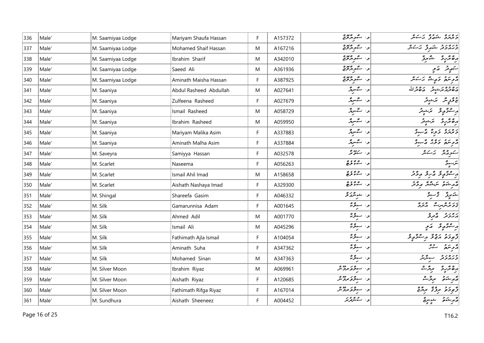| 336 | Male' | M. Saamiyaa Lodge | Mariyam Shaufa Hassan  | F         | A157372 | و ، ستمو پژوه                          | و مرده به دوم برگرمگر          |
|-----|-------|-------------------|------------------------|-----------|---------|----------------------------------------|--------------------------------|
| 337 | Male' | M. Saamiyaa Lodge | Mohamed Shaif Hassan   | M         | A167216 | و، سُمُو پُروهِ                        | ورەرو خىمرۇ بەسىر              |
| 338 | Male' | M. Saamiyaa Lodge | Ibrahim Sharif         | M         | A342010 | و، سُمُو پُرُمُوْنَ                    | أرە ئۆر ئىسىمى                 |
| 339 | Male' | M. Saamiyaa Lodge | Saeed Ali              | M         | A361936 | <sub>و</sub> . سگ <sub>و پ</sub> ر پوه | سكهيقر المكمج                  |
| 340 | Male' | M. Saamiyaa Lodge | Aminath Maisha Hassan  | F         | A387925 | و . گروهیوه<br>د . گروهرفرو            | أأوسم وأريث بمسكس              |
| 341 | Male' | M. Saaniya        | Abdul Rasheed Abdullah | ${\sf M}$ | A027641 | و ، سەھىرد                             | بره وه بر در بر محدالله        |
| 342 | Male' | M. Saaniya        | Zulfeena Rasheed       | F         | A027679 | و. سەّسىر                              | چورپر ترجيز                    |
| 343 | Male' | M. Saaniya        | Ismail Rasheed         | ${\sf M}$ | A058729 | <br> و <sub>'</sub> سنگهرنگر           | را قۇرۇ كەنبەت                 |
| 344 | Male' | M. Saaniya        | Ibrahim Rasheed        | ${\sf M}$ | A059950 | ه سمهر                                 | أرە ئرىرو ئىن ئى               |
| 345 | Male' | M. Saaniya        | Mariyam Malika Asim    | F         | A337883 | أوستقبير                               | ومهرو وولا لأبدو               |
| 346 | Male' | M. Saaniya        | Aminath Malha Asim     | F         | A337884 | ار شهر                                 | أأدمره أدوم أمسود              |
| 347 | Male' | M. Saveyra        | Samiyya Hassan         | F         | A032578 | و . ستمونز                             | ر وه در ده<br>سومانز برسور     |
| 348 | Male' | M. Scarlet        | Naseema                | F         | A056263 | و، سەندىق                              | ىئەسەۋ                         |
| 349 | Male' | M. Scarlet        | Ismail Ahil Imad       | ${\sf M}$ | A158658 | د. سەندىق                              | ر جۇمۇ مۇرۇ مۇم                |
| 350 | Male' | M. Scarlet        | Aishath Nashaya Imad   | F         | A329300 | و· سەندىق                              |                                |
| 351 | Male' | M. Shingal        | Shareefa Gasim         | F         | A046332 | ى سىمىتىگە ئىگەن ئىسىمىتى ئىش          | شەرىر ئۇسرە                    |
| 352 | Male' | M. Silk           | Gamarunnisa Adam       | F         | A001645 | د. سوژه<br>بر                          | پر پر عرب پر و                 |
| 353 | Male' | M. Silk           | Ahmed Adil             | ${\sf M}$ | A001770 | وسيدوه                                 | پروتر گھری                     |
| 354 | Male' | M. Silk           | Ismail Ali             | M         | A045296 | و. سوۋرا                               | بر شۇمۇھ كەيپ                  |
| 355 | Male' | M. Silk           | Fathimath Ajla Ismail  | F         | A104054 | او. سوده<br>——                         | و دو ده و مره و مرکز           |
| 356 | Male' | M. Silk           | Aminath Suha           | F         | A347362 | و. سوژړ                                | ړې په په کنگ                   |
| 357 | Male' | M. Silk           | Mohamed Sinan          | M         | A347363 | وسيدوه                                 | ورەرو سەئۇر                    |
| 358 | Male' | M. Silver Moon    | Ibrahim Riyaz          | ${\sf M}$ | A069961 | و . سوتونو برومر                       | رەتمەر ئىر                     |
| 359 | Male' | M. Silver Moon    | Aishath Riyaz          | F         | A120685 | و٠ سوء مرومر                           | وكرمشكم مركزك                  |
| 360 | Male' | M. Silver Moon    | Fathimath Rifga Riyaz  | F         | A167014 | وسوع والمردوح                          | وٌجودَهُ بِرِوْدٌ بِرِيزٌ وَ   |
| 361 | Male' | M. Sundhura       | Aishath Sheeneez       | F         | A004452 | د. سەھەرىر                             | و مر شور شوسرچ<br>مرسمون شوسرچ |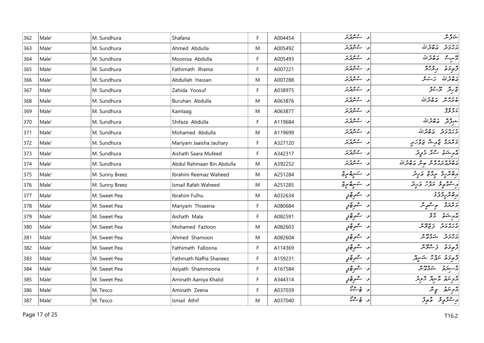| 362 | Male' | M. Sundhura    | Shafana                   | F.          | A004454 | د. سەھەتلەر ئىر           | شە تۇ ئىگر                                     |
|-----|-------|----------------|---------------------------|-------------|---------|---------------------------|------------------------------------------------|
| 363 | Male' | M. Sundhura    | Ahmed Abdulla             | M           | A005492 | ر . گەندىر<br>د . گەنگرىر | برە قراللە<br>ر ەر د                           |
| 364 | Male' | M. Sundhura    | Moonisa Abdulla           | F.          | A005493 | د. گەش بەر                | صقعرالله<br><sup>وە</sup> سرىسەً               |
| 365 | Male' | M. Sundhura    | Fathimath Ilhama          | E           | A007221 | و. سەھەتەرىر              | وجوده مرمر                                     |
| 366 | Male' | M. Sundhura    | Abdullah Hassan           | M           | A007288 | د. سەھەتلەر ئىر           | برہ تراللّٰہ<br>برسەپىر                        |
| 367 | Male' | M. Sundhura    | Zahida Yoosuf             | F           | A038975 | د. رحمه در                | پ <sub>چ سر</sub> پېژن چې د شو د ده<br>پ       |
| 368 | Male' | M. Sundhura    | Buruhan Abdulla           | M           | A063876 | د. روه ور                 | وووعد رووالله                                  |
| 369 | Male' | M. Sundhura    | Kamlaag                   | M           | A063877 | د. رحمه در                | رە بەھ<br>ئىرى ئى                              |
| 370 | Male' | M. Sundhura    | Shifaza Abdulla           | F           | A119684 | د. رحمه در                | ش <i>ەۋ</i> قر كەھ قىراللە                     |
| 371 | Male' | M. Sundhura    | Mohamed Abdulla           | M           | A119699 | د. گەش بەر                | وره رو ده دالله                                |
| 372 | Male' | M. Sundhura    | Mariyam Jaaisha Jauhary   | F.          | A327120 | و. سەھەتەرىر              | وبروك فيهبش فيؤثب                              |
| 373 | Male' | M. Sundhura    | Aishath Saara Mufeed      | F           | A342317 | و. سەھەتەتەتەتەت          | مەر شوەر سەنگە جاي تر                          |
| 374 | Male' | M. Sundhura    | Abdul Rahmaan Bin Abdulla | M           | A392252 | ى سەھەرىر                 | ره وه ره وه و مرود الله                        |
| 375 | Male' | M. Sunny Breez | Ibrahim Reemaz Waheed     | M           | A251284 | و سەسرە يورى              | رە ئەر ئە ئەقتى ئەيد                           |
| 376 | Male' | M. Sunny Breez | Ismail Rafah Waheed       | M           | A251285 | واستسهاد وهمرج            | ر جۇمچى ئۇز ئەيتر                              |
| 377 | Male' | M. Sweet Pea   | Ibrahim Fulhu             | M           | A032634 | ح المستقو <u>م ه</u> و    | ە ئەرەبەدە<br>مەھەر دۇر                        |
| 378 | Male' | M. Sweet Pea   | Mariyam Thiseena          | F.          | A080684 | ح المشموع بر              | ره ده موسیقه                                   |
| 379 | Male' | M. Sweet Pea   | Aishath Mala              | $\mathsf F$ | A082591 | ح المستمو <u>ع ب</u> و    | ړ ده د وگ                                      |
| 380 | Male' | M. Sweet Pea   | Mohamed Fazloon           | M           | A082603 | د. سوءٍ و                 | כנסנכ נסמס<br><i>כג</i> מכנ <sub>י</sub> צאשיי |
| 381 | Male' | M. Sweet Pea   | Ahmed Shamoon             | M           | A082604 | ح المستمو <u>ع ب</u> و    | ره رو در ره دوه<br>م.رو تر شو <i>وه</i> س      |
| 382 | Male' | M. Sweet Pea   | Fathimath Falloona        | F           | A114369 | د . سوء و                 | و ده و دوه                                     |
| 383 | Male' | M. Sweet Pea   | Fathmath Nafha Shaneez    | $\mathsf F$ | A159231 | د. ڪوڇب <sub>و</sub>      | ۇۋۇق سۆڭ خىرىق                                 |
| 384 | Male' | M. Sweet Pea   | Asiyath Shammoona         | F           | A167584 | د. ڪوڇب <sub>و</sub>      | ה גב הפרבה                                     |
| 385 | Male' | M. Sweet Pea   | Aminath Aaniya Khalid     | F           | A344314 | ح المشمو <u>ع ب</u> ي     | أأدينم أأبيلا رادفه                            |
| 386 | Male' | M. Tesco       | Aminath Zeena             | F           | A037039 | $rac{1}{2}$               | ۇ يەسىرە<br>مەس                                |
| 387 | Male' | M. Tesco       | Ismail Athif              | M           | A037040 | $\sqrt{60}$ $6$ $\cdot$   | بر عرضه و مهجوز                                |
|     |       |                |                           |             |         |                           |                                                |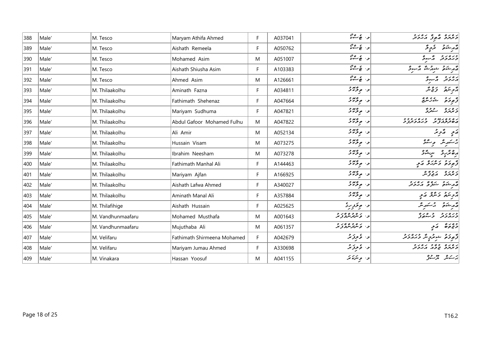| 388 | Male' | M. Tesco          | Maryam Athifa Ahmed         | F           | A037041 | $cos$ $\frac{1}{2}$                                                   | נ 2000 בי 2005.<br>בינו <i>נ</i> ב הפל המכנת                                                         |
|-----|-------|-------------------|-----------------------------|-------------|---------|-----------------------------------------------------------------------|------------------------------------------------------------------------------------------------------|
| 389 | Male' | M. Tesco          | Aishath Remeela             | F           | A050762 | و و ځاین                                                              | ڪ مرڪبو<br>تردپر                                                                                     |
| 390 | Male' | M. Tesco          | Mohamed Asim                | M           | A051007 | و به ځاین                                                             | ور ه ر د<br>تر پرتر تر<br>برسبور                                                                     |
| 391 | Male' | M. Tesco          | Aishath Shiusha Asim        | F           | A103383 | د غ مړي                                                               | أقرار مشوم أحسر مشرور وأسبور                                                                         |
| 392 | Male' | M. Tesco          | Ahmed Asim                  | M           | A126661 | $\stackrel{\mathcal{O} \circ}{\mathcal{L} \rightarrow \mathcal{E}}$ . | גם גב הריייב                                                                                         |
| 393 | Male' | M. Thilaakolhu    | Aminath Fazna               | F           | A034811 | د· موٹر تاتر<br>م                                                     | لجمر سنرد<br>تو چ مگر                                                                                |
| 394 | Male' | M. Thilaakolhu    | Fathimath Shehenaz          | F           | A047664 | و . موتور<br>و . موتور                                                | ے <sub>م</sub> ر شریح<br>و مر د<br>تر مور م                                                          |
| 395 | Male' | M. Thilaakolhu    | Mariyam Sudhuma             | F.          | A047821 | و . موکور<br>و . موکور                                                | ر ه ر ه<br><del>ر</del> بربرگر<br>سەتەرىخ                                                            |
| 396 | Male' | M. Thilaakolhu    | Abdul Gafoor Mohamed Fulhu  | M           | A047822 | او . هو ديود<br>پ                                                     |                                                                                                      |
| 397 | Male' | M. Thilaakolhu    | Ali Amir                    | M           | A052134 | و . موتورد                                                            | أوسمج وتحريمه                                                                                        |
| 398 | Male' | M. Thilaakolhu    | Hussain Visam               | M           | A073275 | و٠ موتژندو                                                            | برسكريش وبسكرمي                                                                                      |
| 399 | Male' | M. Thilaakolhu    | Ibrahim Neesham             | M           | A073278 | ار. <sub>موقر</sub> درد.<br>—                                         | رەڭرۇ سىشگ                                                                                           |
| 400 | Male' | M. Thilaakolhu    | Fathimath Manhal Ali        | F.          | A144463 | د . موتورد د                                                          | و بالمحمد و المحمد المحمد المحمد المحمد المحمد المحمد المحمد المحمد المحمد المحمد المحمد الله الله ا |
| 401 | Male' | M. Thilaakolhu    | Mariyam Ajfan               | $\mathsf F$ | A166925 | و· م <sub>و</sub> مح <sup>رد و</sup>                                  | رەرە روپە                                                                                            |
| 402 | Male' | M. Thilaakolhu    | Aishath Lafwa Ahmed         | F.          | A340027 | ار. م <sub>و</sub> مژند د                                             | ه در دره و دره<br>مرشومی خود کاربروتر                                                                |
| 403 | Male' | M. Thilaakolhu    | Aminath Manal Ali           | F           | A357884 | او، <sub>حو</sub> ژندو<br>پ                                           | أأديتم وتكرفه أأو                                                                                    |
| 404 | Male' | M. Thilafihige    | Aishath Hussain             | F           | A025625 | و· موځ توريځ                                                          | مەر ئىق بىر ئىسكىرىش                                                                                 |
| 405 | Male' | M. Vandhunmaafaru | Mohamed Musthafa            | M           | A001643 | ر ه و ه و د د و<br>و ۰ و سربرسر <del>د</del> و بر                     | وره رو وه رو<br>وردرونر و ب                                                                          |
| 406 | Male' | M. Vandhunmaafaru | Mujuthaba Ali               | M           | A061357 | ر ره وه ورو<br>د ۱ کوشرېر <i>ور</i> و                                 |                                                                                                      |
| 407 | Male' | M. Velifaru       | Fathimath Shirmeena Mohamed | F.          | A042679 | د· <sub>فكم</sub> وتونتر                                              | تؤجر وأو المستوجة والملاحظ                                                                           |
| 408 | Male' | M. Velifaru       | Mariyam Jumau Ahmed         | F           | A330698 | والمحووكر                                                             | נסנס כשב נסנב<br>כמחב <u>ש</u> כף, הגבת                                                              |
| 409 | Male' | M. Vinakara       | Hassan Yoosuf               | M           | A041155 | وسأويتمائك                                                            | برڪش وزيندو                                                                                          |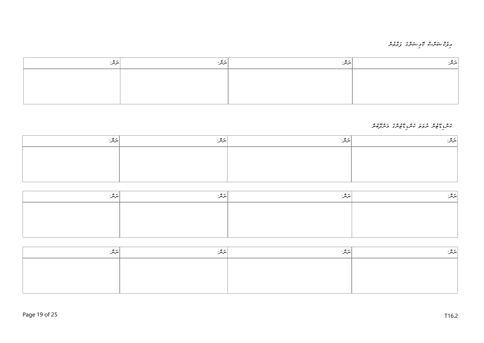## *w7qAn8m? sCw7mRo>u; wEw7mRw;sBo<*

| ' مرمر | 'يئرىثر: |
|--------|----------|
|        |          |
|        |          |
|        |          |

## *w7q9r@w7m> sCw7qHtFoFw7s; mAm=q7 w7qHtFoFw7s;*

| ىر تە | $\mathcal{O} \times$<br>$\sim$ | $\sim$<br>. . | لترنثر |
|-------|--------------------------------|---------------|--------|
|       |                                |               |        |
|       |                                |               |        |
|       |                                |               |        |

| $\frac{2}{n}$ | $\overline{\phantom{a}}$ | اير هنه. | $\mathcal{O} \times$<br>سرسر |
|---------------|--------------------------|----------|------------------------------|
|               |                          |          |                              |
|               |                          |          |                              |
|               |                          |          |                              |

| ' ئىرتىر: | سر سر |  |
|-----------|-------|--|
|           |       |  |
|           |       |  |
|           |       |  |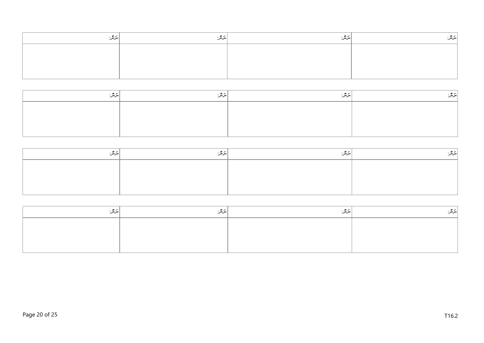| يزهر | $^{\circ}$ | ىئرىتر: |  |
|------|------------|---------|--|
|      |            |         |  |
|      |            |         |  |
|      |            |         |  |

| متريثر به | 。<br>'سرسر'۔ | يتزيترا | سرسر |
|-----------|--------------|---------|------|
|           |              |         |      |
|           |              |         |      |
|           |              |         |      |

| ىئرىتر. | $\sim$ | ا بر هه. | لىرىش |
|---------|--------|----------|-------|
|         |        |          |       |
|         |        |          |       |
|         |        |          |       |

| 。<br>مرس. | $\overline{\phantom{a}}$<br>مر سر | يتريثر |
|-----------|-----------------------------------|--------|
|           |                                   |        |
|           |                                   |        |
|           |                                   |        |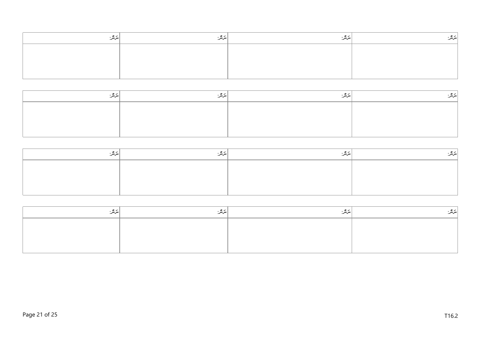| ير هو . | $\overline{\phantom{a}}$ | يرمر | اير هنه. |
|---------|--------------------------|------|----------|
|         |                          |      |          |
|         |                          |      |          |
|         |                          |      |          |

| ىبرىر. | $\sim$<br>ا سرسر . | يئرمثر | o . |
|--------|--------------------|--------|-----|
|        |                    |        |     |
|        |                    |        |     |
|        |                    |        |     |

| الترنثر: | ' مرتكز: | الترنثر: | .,<br>سرسر. |
|----------|----------|----------|-------------|
|          |          |          |             |
|          |          |          |             |
|          |          |          |             |

|  | . ه |
|--|-----|
|  |     |
|  |     |
|  |     |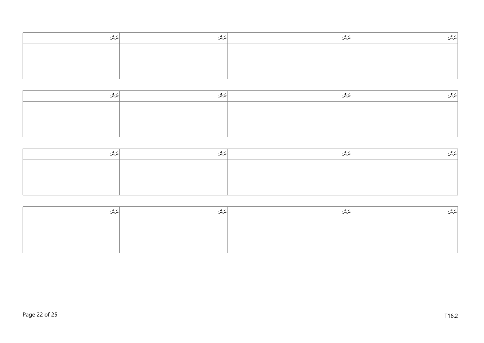| ير هو . | $\overline{\phantom{a}}$ | يرمر | اير هنه. |
|---------|--------------------------|------|----------|
|         |                          |      |          |
|         |                          |      |          |
|         |                          |      |          |

| ىر تىر: | $\circ$ $\sim$<br>" سرسر . | يبرحه | o . |
|---------|----------------------------|-------|-----|
|         |                            |       |     |
|         |                            |       |     |
|         |                            |       |     |

| الترنثر: | ' مرتكز: | الترنثر: | .,<br>سرسر. |
|----------|----------|----------|-------------|
|          |          |          |             |
|          |          |          |             |
|          |          |          |             |

|  | . ه |
|--|-----|
|  |     |
|  |     |
|  |     |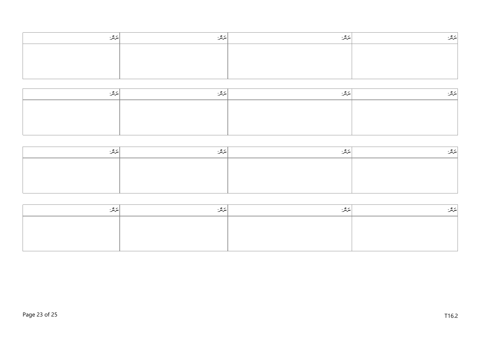| $\cdot$ | 。 | $\frac{\circ}{\cdot}$ | $\sim$<br>سرسر |
|---------|---|-----------------------|----------------|
|         |   |                       |                |
|         |   |                       |                |
|         |   |                       |                |

| يريثن | ' سرسر . |  |
|-------|----------|--|
|       |          |  |
|       |          |  |
|       |          |  |

| بر ه | . ه | $\sim$<br>سرسر |  |
|------|-----|----------------|--|
|      |     |                |  |
|      |     |                |  |
|      |     |                |  |

| 。<br>. س | ىرىىر |  |
|----------|-------|--|
|          |       |  |
|          |       |  |
|          |       |  |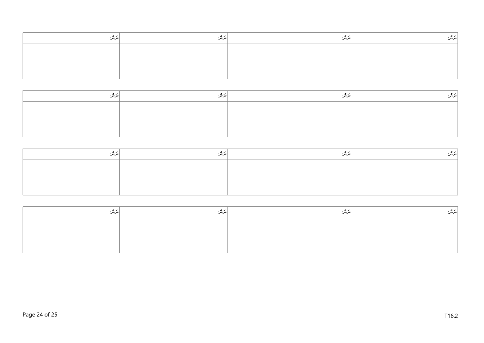| ير هو . | $\overline{\phantom{a}}$ | يرمر | اير هنه. |
|---------|--------------------------|------|----------|
|         |                          |      |          |
|         |                          |      |          |
|         |                          |      |          |

| ىبرىر. | $\sim$<br>ا سرسر . | يئرمثر | o . |
|--------|--------------------|--------|-----|
|        |                    |        |     |
|        |                    |        |     |
|        |                    |        |     |

| انترنثر: | ر ه |  |
|----------|-----|--|
|          |     |  |
|          |     |  |
|          |     |  |

|  | . ه |
|--|-----|
|  |     |
|  |     |
|  |     |